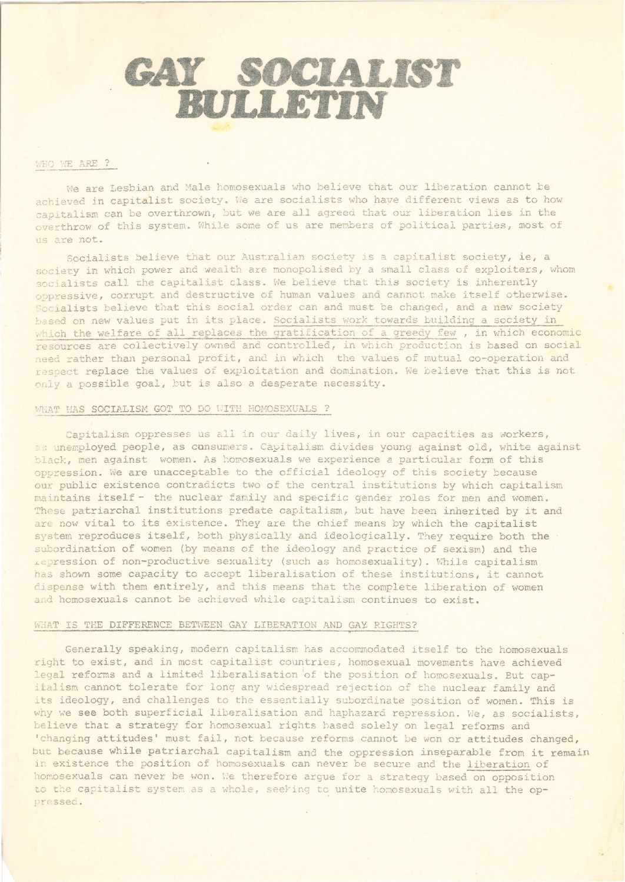# GAY SOCIALIST

# WHO WE ARE ?

We are Lesbian and Male homosexuals who believe that our liberation cannot be achieved in capitalist society. We are socialists who have different views as to how capitalism can be overthrown, but we are all agreed that our liberation lies in the overthrow of this system. While some of us are members of political parties, most of us are not.

Socialists believe that our Australian society is a capitalist society, ie, a society in which power and wealth are monopolised by a small class of exploiters, whom socialists call the capitalist class. We believe that this society is inherently oppressive, corrupt and destructive of human values and cannot make itself otherwise. Socialists believe that this social order can and must be changed, and a new society based on new values put in its place. Socialists work towards building a society in which the welfare of all replaces the gratification of a greedy few, in which economic resources are collectively owned and controlled, in which production is based on social need rather than personal profit, and in which the values of mutual co-operation and respect replace the values of exploitation and domination. We believe that this is not only a possible goal, but is also a desperate necessity.

### WHAT HAS SOCIALISM GOT TO DO WITH HOMOSEXUALS ?

Capitalism oppresses us all in our daily lives, in our capacities as workers, as unemployed people, as cunsumers. Capitalism divides young against old, white against black, men against women. As homosexuals we experience a particular form of this oppression. We are unacceptable to the official ideology of this society because our public existence contradicts two of the central institutions by which capitalism maintains itself - the nuclear family and specific gender roles for men and women. These patriarchal institutions predate capitalism, but have been inherited by it and are now vital to its existence. They are the chief means by which the capitalist system reproduces itself, both physically and ideologically. They require both the subordination of women (by means of the ideology and practice of sexism) and the repression of non-productive sexuality (such as homosexuality). While capitalism has shown some capacity to accept liberalisation of these institutions, it cannot dispense with them entirely, and this means that the complete liberation of women and homosexuals cannot be achieved while capitalism continues to exist.

# WHAT IS THE DIFFERENCE BETWEEN GAY LIBERATION AND GAY RIGHTS?

Generally speaking, modern capitalism has accommodated itself to the homosexuals right to exist, and in most capitalist countries, homosexual movements have achieved legal reforms and a limited liberalisation of the position of homosexuals. But capitalism cannot tolerate for long any widespread rejection of the nuclear family and its ideology, and challenges to the essentially subordinate position of women. This is why we see both superficial liberalisation and haphazard repression. We, as socialists, believe that a strategy for homosexual rights based solely on legal reforms and 'changing attitudes' must fail, not because reforms cannot be won or attitudes changed, but because while patriarchal capitalism and the oppression inseparable from it remain in existence the position of homosexuals can never be secure and the liberation of homosexuals can never be won. We therefore argue for a strategy based on opposition to the capitalist system as a whole, seeking to unite homosexuals with all the oppressed.